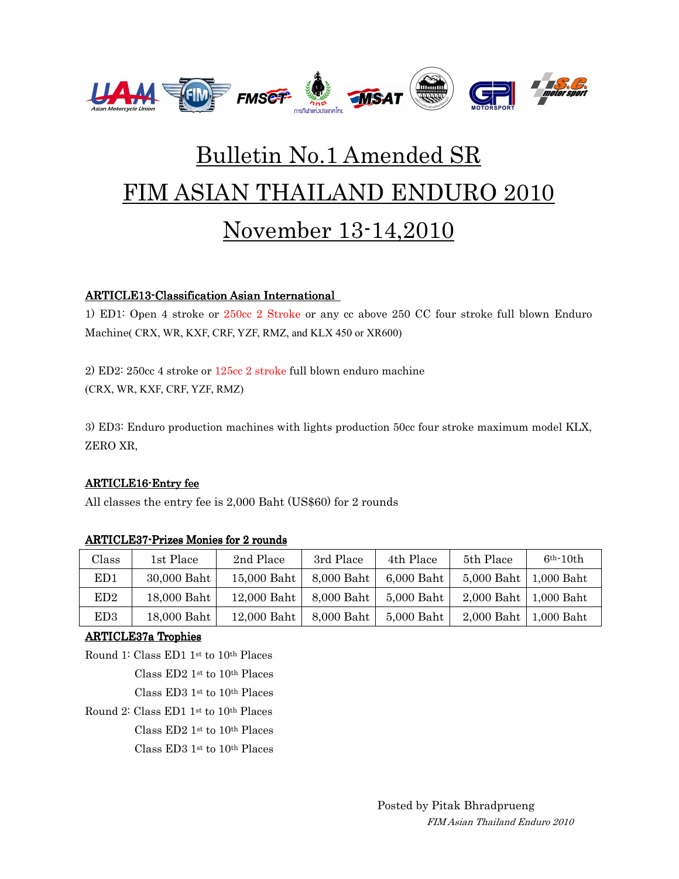

# Bulletin No.1 Amended SR FIM ASIAN THAILAND ENDURO 2010 November 13-14,2010

## ARTICLE13-Classification Asian International

1) ED1: Open 4 stroke or 250cc 2 Stroke or any cc above 250 CC four stroke full blown Enduro Machine( CRX, WR, KXF, CRF, YZF, RMZ, and KLX 450 or XR600)

2) ED2: 250cc 4 stroke or 125cc 2 stroke full blown enduro machine (CRX, WR, KXF, CRF, YZF, RMZ)

3) ED3: Enduro production machines with lights production 50cc four stroke maximum model KLX, ZERO XR,

### **ARTICLE16-Entry fee**

All classes the entry fee is 2,000 Baht (US\$60) for 2 rounds

| Class           | 1st Place   | 2nd Place   | 3rd Place  | 4th Place  | 5th Place               | $6th-10th$ |
|-----------------|-------------|-------------|------------|------------|-------------------------|------------|
| ED1             | 30,000 Baht | 15,000 Baht | 8,000 Baht | 6,000 Baht | 5,000 Baht   1,000 Baht |            |
| ED <sub>2</sub> | 18,000 Baht | 12,000 Baht | 8,000 Baht | 5,000 Baht | 2,000 Baht   1,000 Baht |            |
| ED3             | 18,000 Baht | 12,000 Baht | 8,000 Baht | 5,000 Baht | 2,000 Baht   1,000 Baht |            |

### ARTICLE37-Prizes Monies for 2 rounds

### ARTICLE37a Trophies

Round 1: Class ED1 1st to 10th Places Class ED2 1st to 10th Places

Class ED3 1st to 10th Places

Round 2: Class ED1 1st to 10th Places

Class ED2 1st to 10th Places

Class ED3 1st to 10th Places